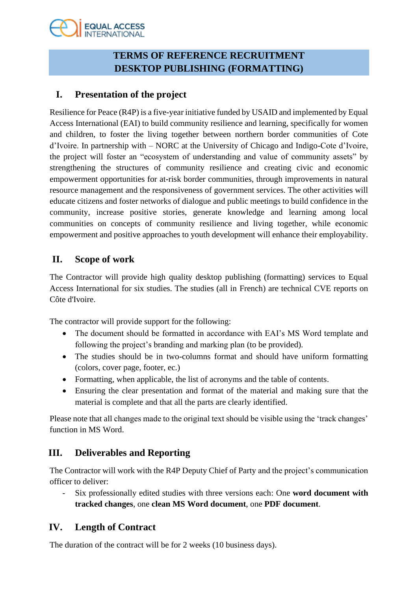# **EQUAL ACCESS**

## **TERMS OF REFERENCE RECRUITMENT DESKTOP PUBLISHING (FORMATTING)**

## **I. Presentation of the project**

Resilience for Peace (R4P) is a five-year initiative funded by USAID and implemented by Equal Access International (EAI) to build community resilience and learning, specifically for women and children, to foster the living together between northern border communities of Cote d'Ivoire. In partnership with – NORC at the University of Chicago and Indigo-Cote d'Ivoire, the project will foster an "ecosystem of understanding and value of community assets" by strengthening the structures of community resilience and creating civic and economic empowerment opportunities for at-risk border communities, through improvements in natural resource management and the responsiveness of government services. The other activities will educate citizens and foster networks of dialogue and public meetings to build confidence in the community, increase positive stories, generate knowledge and learning among local communities on concepts of community resilience and living together, while economic empowerment and positive approaches to youth development will enhance their employability.

### **II. Scope of work**

The Contractor will provide high quality desktop publishing (formatting) services to Equal Access International for six studies. The studies (all in French) are technical CVE reports on Côte d'Ivoire.

The contractor will provide support for the following:

- The document should be formatted in accordance with EAI's MS Word template and following the project's branding and marking plan (to be provided).
- The studies should be in two-columns format and should have uniform formatting (colors, cover page, footer, ec.)
- Formatting, when applicable, the list of acronyms and the table of contents.
- Ensuring the clear presentation and format of the material and making sure that the material is complete and that all the parts are clearly identified.

Please note that all changes made to the original text should be visible using the 'track changes' function in MS Word.

## **III. Deliverables and Reporting**

The Contractor will work with the R4P Deputy Chief of Party and the project's communication officer to deliver:

- Six professionally edited studies with three versions each: One **word document with tracked changes**, one **clean MS Word document**, one **PDF document**.

## **IV. Length of Contract**

The duration of the contract will be for 2 weeks (10 business days).